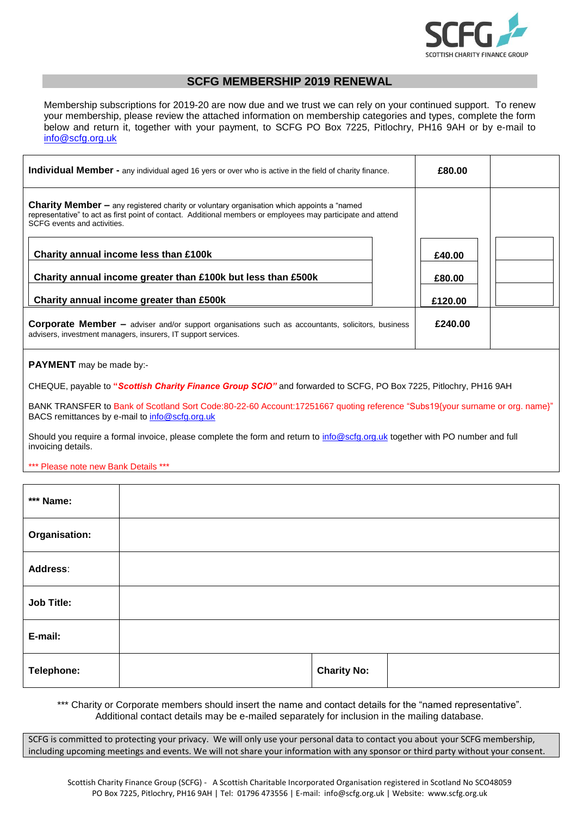

## **SCFG MEMBERSHIP 2019 RENEWAL**

Membership subscriptions for 2019-20 are now due and we trust we can rely on your continued support. To renew your membership, please review the attached information on membership categories and types, complete the form below and return it, together with your payment, to SCFG PO Box 7225, Pitlochry, PH16 9AH or by e-mail to [info@scfg.org.uk](mailto:info@scfg.org.uk)

| Individual Member - any individual aged 16 yers or over who is active in the field of charity finance.                                                                                                                                           |  | £80.00  |  |  |  |  |
|--------------------------------------------------------------------------------------------------------------------------------------------------------------------------------------------------------------------------------------------------|--|---------|--|--|--|--|
| <b>Charity Member –</b> any registered charity or voluntary organisation which appoints a "named"<br>representative" to act as first point of contact. Additional members or employees may participate and attend<br>SCFG events and activities. |  |         |  |  |  |  |
| Charity annual income less than £100k                                                                                                                                                                                                            |  | £40.00  |  |  |  |  |
| Charity annual income greater than £100k but less than £500k                                                                                                                                                                                     |  | £80.00  |  |  |  |  |
| Charity annual income greater than £500k                                                                                                                                                                                                         |  | £120.00 |  |  |  |  |
| <b>Corporate Member –</b> adviser and/or support organisations such as accountants, solicitors, business<br>advisers, investment managers, insurers, IT support services.                                                                        |  | £240.00 |  |  |  |  |
| <b>PAYMENT</b> may be made by:-                                                                                                                                                                                                                  |  |         |  |  |  |  |
| CHEQUE, payable to "Scottish Charity Finance Group SCIO" and forwarded to SCFG, PO Box 7225, Pitlochry, PH16 9AH                                                                                                                                 |  |         |  |  |  |  |
| BANK TRANSFER to Bank of Scotland Sort Code:80-22-60 Account:17251667 quoting reference "Subs19{your surname or org. name}"<br>BACS remittances by e-mail to info@scfg.org.uk                                                                    |  |         |  |  |  |  |

Should you require a formal invoice, please complete the form and return to [info@scfg.org.uk](mailto:info@scfg.org.uk) together with PO number and full invoicing details.

## \*\*\* Please note new Bank Details \*\*\*

| *** Name:         |  |  |                    |  |
|-------------------|--|--|--------------------|--|
| Organisation:     |  |  |                    |  |
| Address:          |  |  |                    |  |
| <b>Job Title:</b> |  |  |                    |  |
| E-mail:           |  |  |                    |  |
| Telephone:        |  |  | <b>Charity No:</b> |  |

\*\*\* Charity or Corporate members should insert the name and contact details for the "named representative". Additional contact details may be e-mailed separately for inclusion in the mailing database.

SCFG is committed to protecting your privacy. We will only use your personal data to contact you about your SCFG membership, including upcoming meetings and events. We will not share your information with any sponsor or third party without your consent.